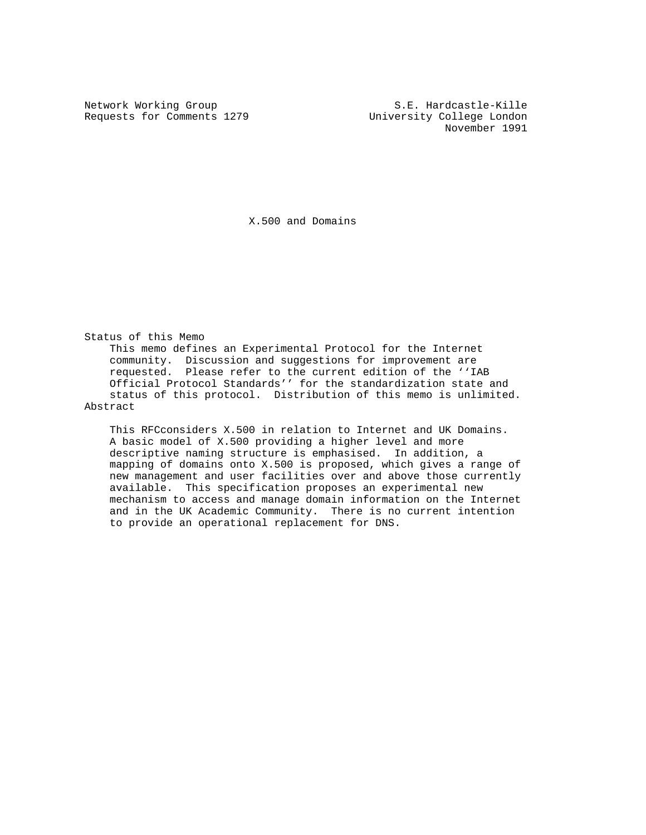Requests for Comments 1279 University College London

Network Working Group S.E. Hardcastle-Kille November 1991

X.500 and Domains

Status of this Memo This memo defines an Experimental Protocol for the Internet community. Discussion and suggestions for improvement are requested. Please refer to the current edition of the ''IAB Official Protocol Standards'' for the standardization state and status of this protocol. Distribution of this memo is unlimited. Abstract

 This RFCconsiders X.500 in relation to Internet and UK Domains. A basic model of X.500 providing a higher level and more descriptive naming structure is emphasised. In addition, a mapping of domains onto X.500 is proposed, which gives a range of new management and user facilities over and above those currently available. This specification proposes an experimental new mechanism to access and manage domain information on the Internet and in the UK Academic Community. There is no current intention to provide an operational replacement for DNS.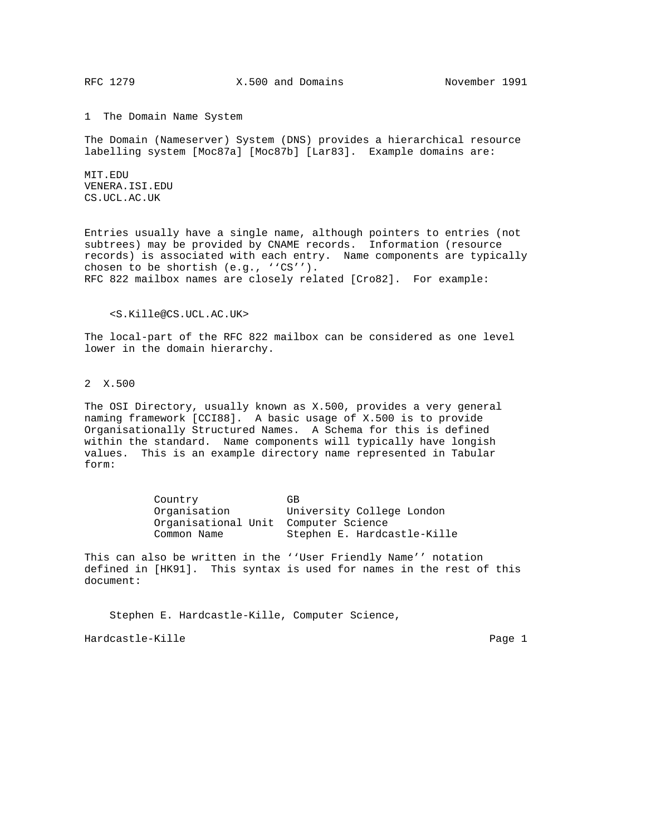1 The Domain Name System

The Domain (Nameserver) System (DNS) provides a hierarchical resource labelling system [Moc87a] [Moc87b] [Lar83]. Example domains are:

MIT.EDU VENERA.ISI.EDU CS.UCL.AC.UK

Entries usually have a single name, although pointers to entries (not subtrees) may be provided by CNAME records. Information (resource records) is associated with each entry. Name components are typically chosen to be shortish (e.g., ''CS''). RFC 822 mailbox names are closely related [Cro82]. For example:

#### <S.Kille@CS.UCL.AC.UK>

The local-part of the RFC 822 mailbox can be considered as one level lower in the domain hierarchy.

# 2 X.500

The OSI Directory, usually known as X.500, provides a very general naming framework [CCI88]. A basic usage of X.500 is to provide Organisationally Structured Names. A Schema for this is defined within the standard. Name components will typically have longish values. This is an example directory name represented in Tabular form:

| Country                              | GB.                         |  |
|--------------------------------------|-----------------------------|--|
| Organisation                         | University College London   |  |
| Organisational Unit Computer Science |                             |  |
| Common Name                          | Stephen E. Hardcastle-Kille |  |

This can also be written in the ''User Friendly Name'' notation defined in [HK91]. This syntax is used for names in the rest of this document:

 Stephen E. Hardcastle-Kille, Computer Science, Hardcastle-Kille Page 1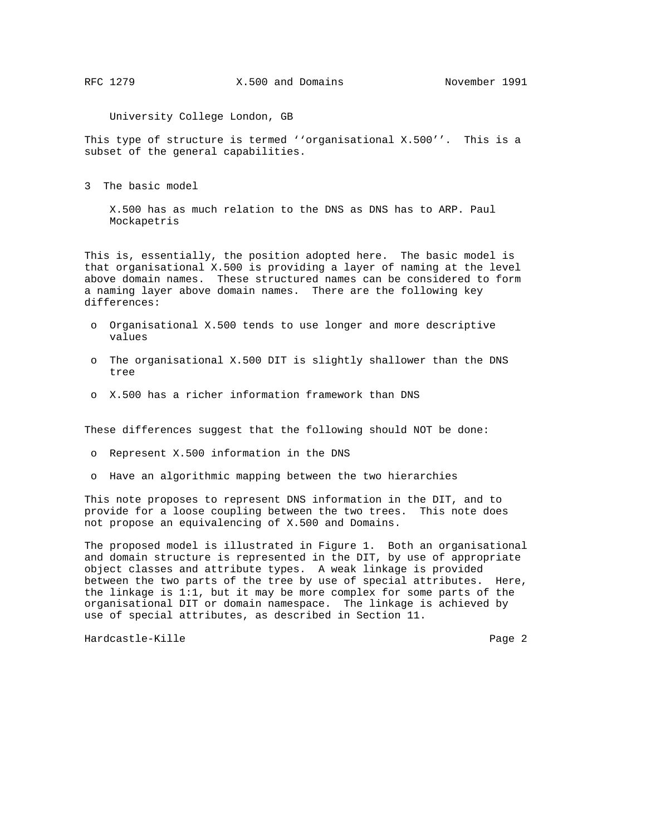University College London, GB

This type of structure is termed ''organisational X.500''. This is a subset of the general capabilities.

3 The basic model

 X.500 has as much relation to the DNS as DNS has to ARP. Paul Mockapetris

This is, essentially, the position adopted here. The basic model is that organisational X.500 is providing a layer of naming at the level above domain names. These structured names can be considered to form a naming layer above domain names. There are the following key differences:

- o Organisational X.500 tends to use longer and more descriptive values
- o The organisational X.500 DIT is slightly shallower than the DNS tree
- o X.500 has a richer information framework than DNS

These differences suggest that the following should NOT be done:

- o Represent X.500 information in the DNS
- o Have an algorithmic mapping between the two hierarchies

This note proposes to represent DNS information in the DIT, and to provide for a loose coupling between the two trees. This note does not propose an equivalencing of X.500 and Domains.

The proposed model is illustrated in Figure 1. Both an organisational and domain structure is represented in the DIT, by use of appropriate object classes and attribute types. A weak linkage is provided between the two parts of the tree by use of special attributes. Here, the linkage is 1:1, but it may be more complex for some parts of the organisational DIT or domain namespace. The linkage is achieved by use of special attributes, as described in Section 11.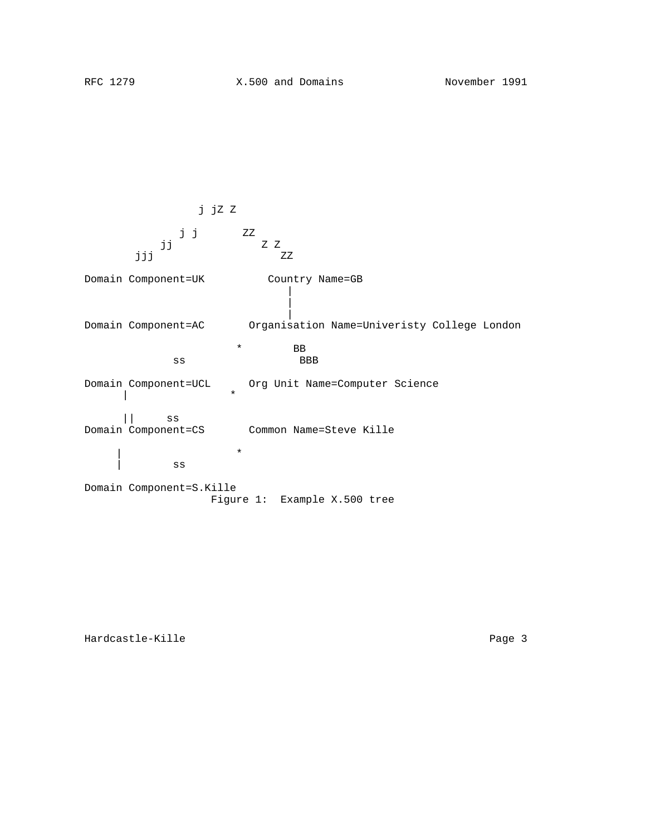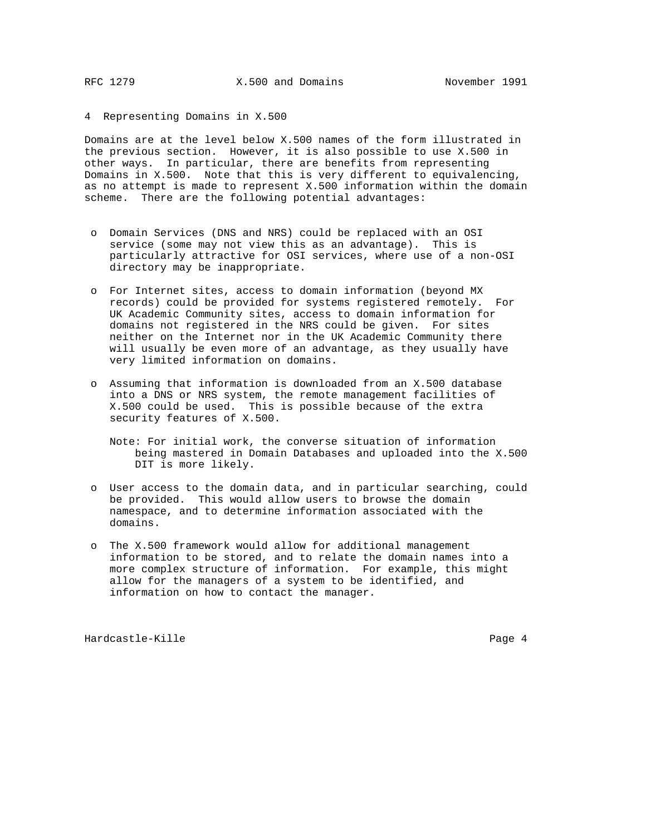4 Representing Domains in X.500

Domains are at the level below X.500 names of the form illustrated in the previous section. However, it is also possible to use X.500 in other ways. In particular, there are benefits from representing Domains in X.500. Note that this is very different to equivalencing, as no attempt is made to represent X.500 information within the domain scheme. There are the following potential advantages:

- o Domain Services (DNS and NRS) could be replaced with an OSI service (some may not view this as an advantage). This is particularly attractive for OSI services, where use of a non-OSI directory may be inappropriate.
- o For Internet sites, access to domain information (beyond MX records) could be provided for systems registered remotely. For UK Academic Community sites, access to domain information for domains not registered in the NRS could be given. For sites neither on the Internet nor in the UK Academic Community there will usually be even more of an advantage, as they usually have very limited information on domains.
- o Assuming that information is downloaded from an X.500 database into a DNS or NRS system, the remote management facilities of X.500 could be used. This is possible because of the extra security features of X.500.
	- Note: For initial work, the converse situation of information being mastered in Domain Databases and uploaded into the X.500 DIT is more likely.
- o User access to the domain data, and in particular searching, could be provided. This would allow users to browse the domain namespace, and to determine information associated with the domains.
- o The X.500 framework would allow for additional management information to be stored, and to relate the domain names into a more complex structure of information. For example, this might allow for the managers of a system to be identified, and information on how to contact the manager.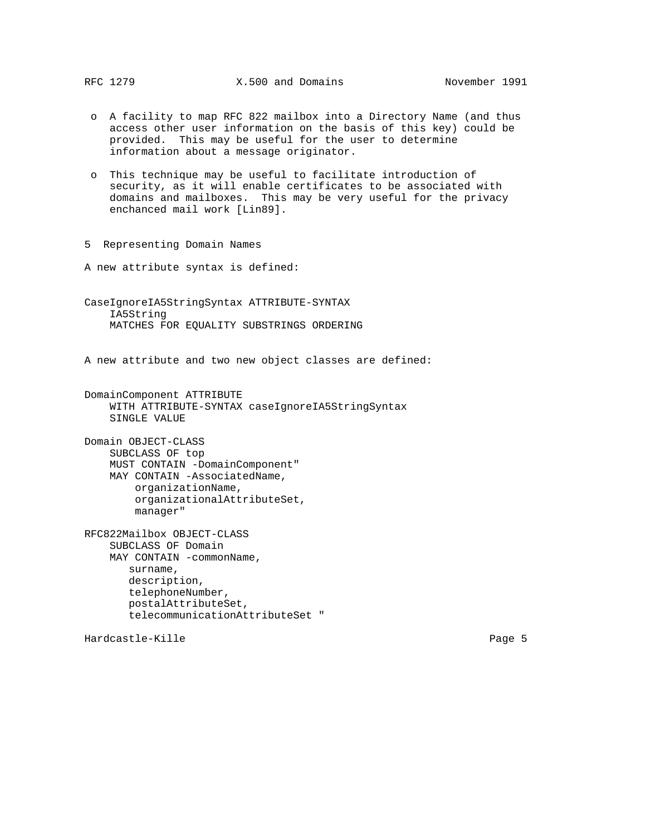- o A facility to map RFC 822 mailbox into a Directory Name (and thus access other user information on the basis of this key) could be provided. This may be useful for the user to determine information about a message originator.
- o This technique may be useful to facilitate introduction of security, as it will enable certificates to be associated with domains and mailboxes. This may be very useful for the privacy enchanced mail work [Lin89].
- 5 Representing Domain Names

A new attribute syntax is defined:

CaseIgnoreIA5StringSyntax ATTRIBUTE-SYNTAX IA5String MATCHES FOR EQUALITY SUBSTRINGS ORDERING

A new attribute and two new object classes are defined:

DomainComponent ATTRIBUTE WITH ATTRIBUTE-SYNTAX caseIgnoreIA5StringSyntax SINGLE VALUE

Domain OBJECT-CLASS SUBCLASS OF top MUST CONTAIN -DomainComponent" MAY CONTAIN -AssociatedName, organizationName, organizationalAttributeSet, manager"

RFC822Mailbox OBJECT-CLASS SUBCLASS OF Domain MAY CONTAIN -commonName, surname, description, telephoneNumber, postalAttributeSet, telecommunicationAttributeSet "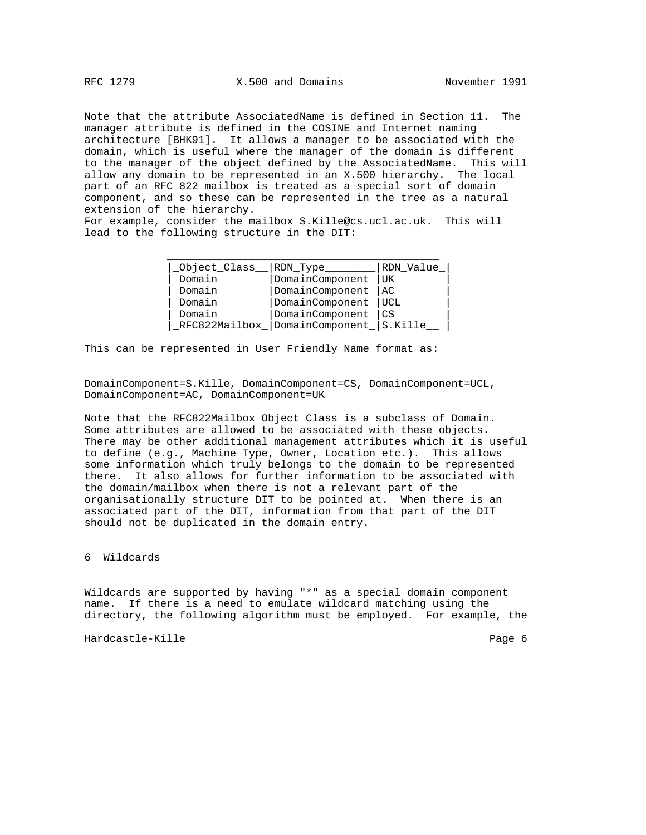Note that the attribute AssociatedName is defined in Section 11. The manager attribute is defined in the COSINE and Internet naming architecture [BHK91]. It allows a manager to be associated with the domain, which is useful where the manager of the domain is different to the manager of the object defined by the AssociatedName. This will allow any domain to be represented in an X.500 hierarchy. The local part of an RFC 822 mailbox is treated as a special sort of domain component, and so these can be represented in the tree as a natural extension of the hierarchy.

For example, consider the mailbox S.Kille@cs.ucl.ac.uk. This will lead to the following structure in the DIT:

| Object Class   RDN Type |                                           | RDN Value |
|-------------------------|-------------------------------------------|-----------|
| Domain                  | DomainComponent                           | UK        |
| Domain                  | DomainComponent                           | AC        |
| Domain                  | DomainComponent                           | UCL       |
| Domain                  | DomainComponent                           | CS        |
|                         | _RFC822Mailbox_ DomainComponent_ S.Kille_ |           |

This can be represented in User Friendly Name format as:

DomainComponent=S.Kille, DomainComponent=CS, DomainComponent=UCL, DomainComponent=AC, DomainComponent=UK

Note that the RFC822Mailbox Object Class is a subclass of Domain. Some attributes are allowed to be associated with these objects. There may be other additional management attributes which it is useful to define (e.g., Machine Type, Owner, Location etc.). This allows some information which truly belongs to the domain to be represented there. It also allows for further information to be associated with the domain/mailbox when there is not a relevant part of the organisationally structure DIT to be pointed at. When there is an associated part of the DIT, information from that part of the DIT should not be duplicated in the domain entry.

## 6 Wildcards

Wildcards are supported by having "\*" as a special domain component name. If there is a need to emulate wildcard matching using the directory, the following algorithm must be employed. For example, the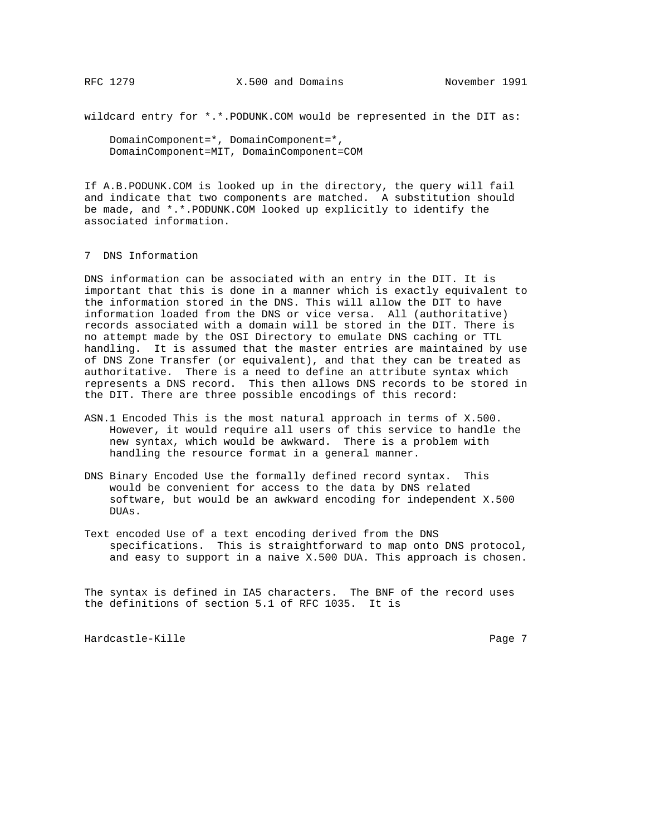wildcard entry for \*.\*.PODUNK.COM would be represented in the DIT as:

 DomainComponent=\*, DomainComponent=\*, DomainComponent=MIT, DomainComponent=COM

If A.B.PODUNK.COM is looked up in the directory, the query will fail and indicate that two components are matched. A substitution should be made, and \*.\*.PODUNK.COM looked up explicitly to identify the associated information.

### 7 DNS Information

DNS information can be associated with an entry in the DIT. It is important that this is done in a manner which is exactly equivalent to the information stored in the DNS. This will allow the DIT to have information loaded from the DNS or vice versa. All (authoritative) records associated with a domain will be stored in the DIT. There is no attempt made by the OSI Directory to emulate DNS caching or TTL handling. It is assumed that the master entries are maintained by use of DNS Zone Transfer (or equivalent), and that they can be treated as authoritative. There is a need to define an attribute syntax which represents a DNS record. This then allows DNS records to be stored in the DIT. There are three possible encodings of this record:

- ASN.1 Encoded This is the most natural approach in terms of X.500. However, it would require all users of this service to handle the new syntax, which would be awkward. There is a problem with handling the resource format in a general manner.
- DNS Binary Encoded Use the formally defined record syntax. This would be convenient for access to the data by DNS related software, but would be an awkward encoding for independent X.500 DUAs.
- Text encoded Use of a text encoding derived from the DNS specifications. This is straightforward to map onto DNS protocol, and easy to support in a naive X.500 DUA. This approach is chosen.

The syntax is defined in IA5 characters. The BNF of the record uses the definitions of section 5.1 of RFC 1035. It is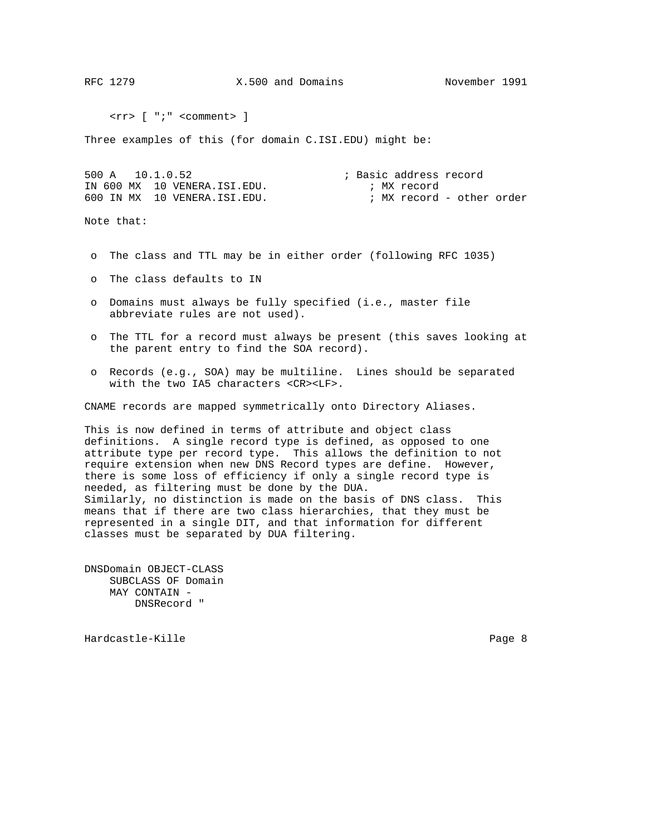RFC 1279 X.500 and Domains November 1991

<rr> [ ";" <comment> ]

Three examples of this (for domain C.ISI.EDU) might be:

500 A 10.1.0.52 ; Basic address record IN 600 MX 10 VENERA.ISI.EDU. ; MX record 600 IN MX 10 VENERA.ISI.EDU. ; MX record - other order

Note that:

- o The class and TTL may be in either order (following RFC 1035)
- o The class defaults to IN
- o Domains must always be fully specified (i.e., master file abbreviate rules are not used).
- o The TTL for a record must always be present (this saves looking at the parent entry to find the SOA record).
- o Records (e.g., SOA) may be multiline. Lines should be separated with the two IA5 characters <CR><LF>.

CNAME records are mapped symmetrically onto Directory Aliases.

This is now defined in terms of attribute and object class definitions. A single record type is defined, as opposed to one attribute type per record type. This allows the definition to not require extension when new DNS Record types are define. However, there is some loss of efficiency if only a single record type is needed, as filtering must be done by the DUA. Similarly, no distinction is made on the basis of DNS class. This means that if there are two class hierarchies, that they must be represented in a single DIT, and that information for different classes must be separated by DUA filtering.

DNSDomain OBJECT-CLASS SUBCLASS OF Domain MAY CONTAIN - DNSRecord "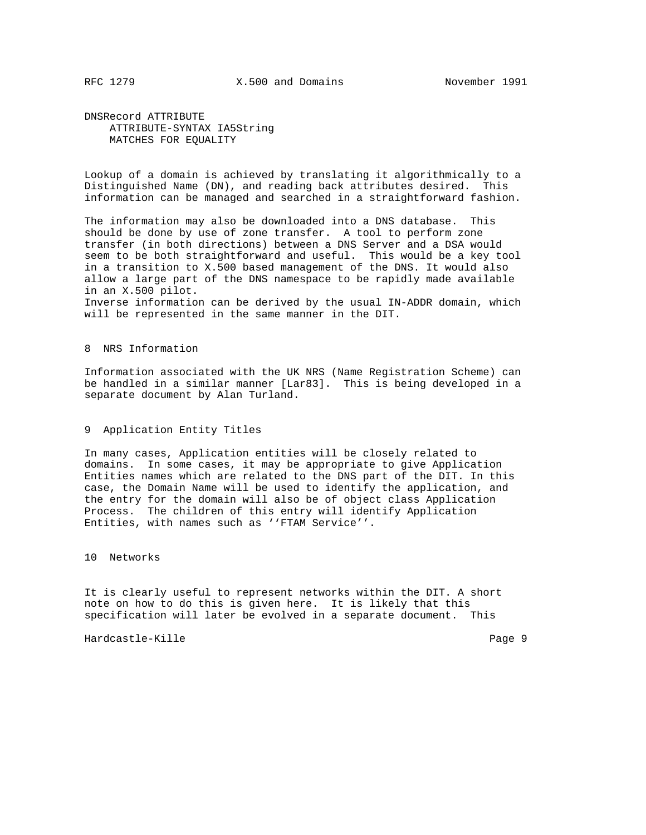DNSRecord ATTRIBUTE ATTRIBUTE-SYNTAX IA5String MATCHES FOR EQUALITY

Lookup of a domain is achieved by translating it algorithmically to a Distinguished Name (DN), and reading back attributes desired. This information can be managed and searched in a straightforward fashion.

The information may also be downloaded into a DNS database. This should be done by use of zone transfer. A tool to perform zone transfer (in both directions) between a DNS Server and a DSA would seem to be both straightforward and useful. This would be a key tool in a transition to X.500 based management of the DNS. It would also allow a large part of the DNS namespace to be rapidly made available in an X.500 pilot. Inverse information can be derived by the usual IN-ADDR domain, which will be represented in the same manner in the DIT.

8 NRS Information

Information associated with the UK NRS (Name Registration Scheme) can be handled in a similar manner [Lar83]. This is being developed in a separate document by Alan Turland.

## 9 Application Entity Titles

In many cases, Application entities will be closely related to domains. In some cases, it may be appropriate to give Application Entities names which are related to the DNS part of the DIT. In this case, the Domain Name will be used to identify the application, and the entry for the domain will also be of object class Application Process. The children of this entry will identify Application Entities, with names such as ''FTAM Service''.

10 Networks

It is clearly useful to represent networks within the DIT. A short note on how to do this is given here. It is likely that this specification will later be evolved in a separate document. This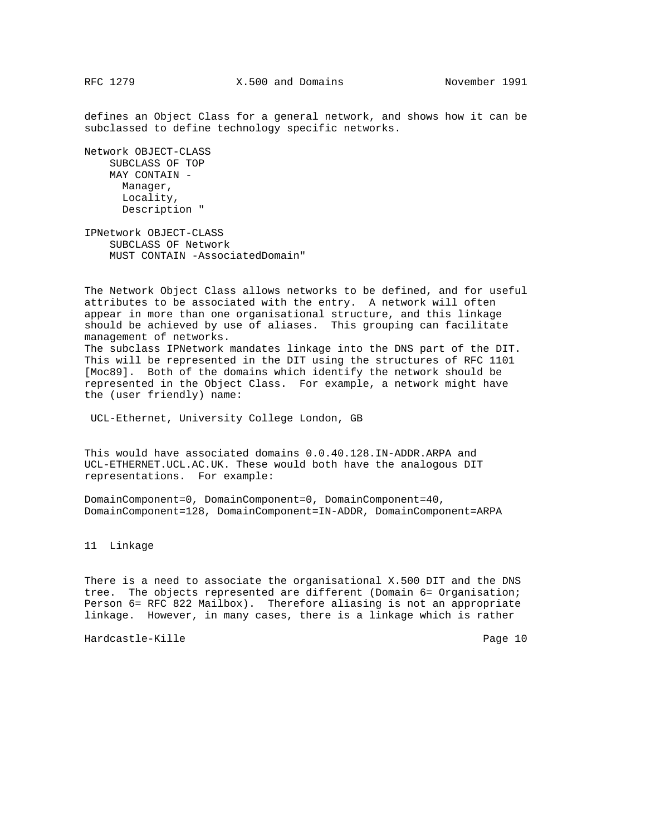defines an Object Class for a general network, and shows how it can be subclassed to define technology specific networks.

Network OBJECT-CLASS SUBCLASS OF TOP MAY CONTAIN - Manager, Locality, Description "

IPNetwork OBJECT-CLASS SUBCLASS OF Network MUST CONTAIN -AssociatedDomain"

The Network Object Class allows networks to be defined, and for useful attributes to be associated with the entry. A network will often appear in more than one organisational structure, and this linkage should be achieved by use of aliases. This grouping can facilitate management of networks. The subclass IPNetwork mandates linkage into the DNS part of the DIT. This will be represented in the DIT using the structures of RFC 1101 [Moc89]. Both of the domains which identify the network should be represented in the Object Class. For example, a network might have the (user friendly) name:

UCL-Ethernet, University College London, GB

This would have associated domains 0.0.40.128.IN-ADDR.ARPA and UCL-ETHERNET.UCL.AC.UK. These would both have the analogous DIT representations. For example:

DomainComponent=0, DomainComponent=0, DomainComponent=40, DomainComponent=128, DomainComponent=IN-ADDR, DomainComponent=ARPA

11 Linkage

There is a need to associate the organisational X.500 DIT and the DNS tree. The objects represented are different (Domain 6= Organisation; Person 6= RFC 822 Mailbox). Therefore aliasing is not an appropriate linkage. However, in many cases, there is a linkage which is rather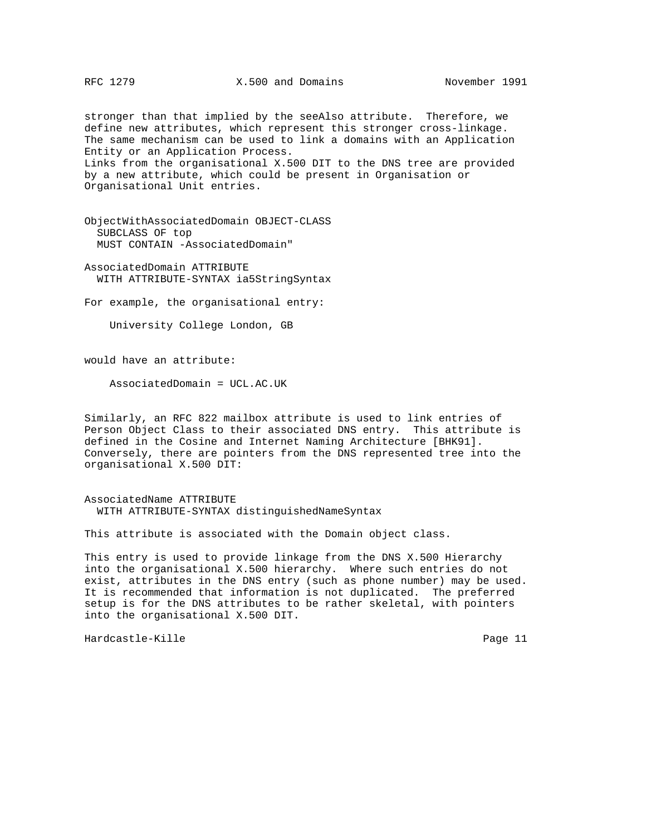stronger than that implied by the seeAlso attribute. Therefore, we define new attributes, which represent this stronger cross-linkage. The same mechanism can be used to link a domains with an Application Entity or an Application Process. Links from the organisational X.500 DIT to the DNS tree are provided by a new attribute, which could be present in Organisation or Organisational Unit entries.

ObjectWithAssociatedDomain OBJECT-CLASS SUBCLASS OF top MUST CONTAIN -AssociatedDomain"

AssociatedDomain ATTRIBUTE WITH ATTRIBUTE-SYNTAX ia5StringSyntax

For example, the organisational entry:

University College London, GB

would have an attribute:

AssociatedDomain = UCL.AC.UK

Similarly, an RFC 822 mailbox attribute is used to link entries of Person Object Class to their associated DNS entry. This attribute is defined in the Cosine and Internet Naming Architecture [BHK91]. Conversely, there are pointers from the DNS represented tree into the organisational X.500 DIT:

AssociatedName ATTRIBUTE WITH ATTRIBUTE-SYNTAX distinguishedNameSyntax

This attribute is associated with the Domain object class.

This entry is used to provide linkage from the DNS X.500 Hierarchy into the organisational X.500 hierarchy. Where such entries do not exist, attributes in the DNS entry (such as phone number) may be used. It is recommended that information is not duplicated. The preferred setup is for the DNS attributes to be rather skeletal, with pointers into the organisational X.500 DIT.

Hardcastle-Kille Page 11 and the Page 11 and the Page 11 and the Page 11 and the Page 11 and the Page 11 and the Page 11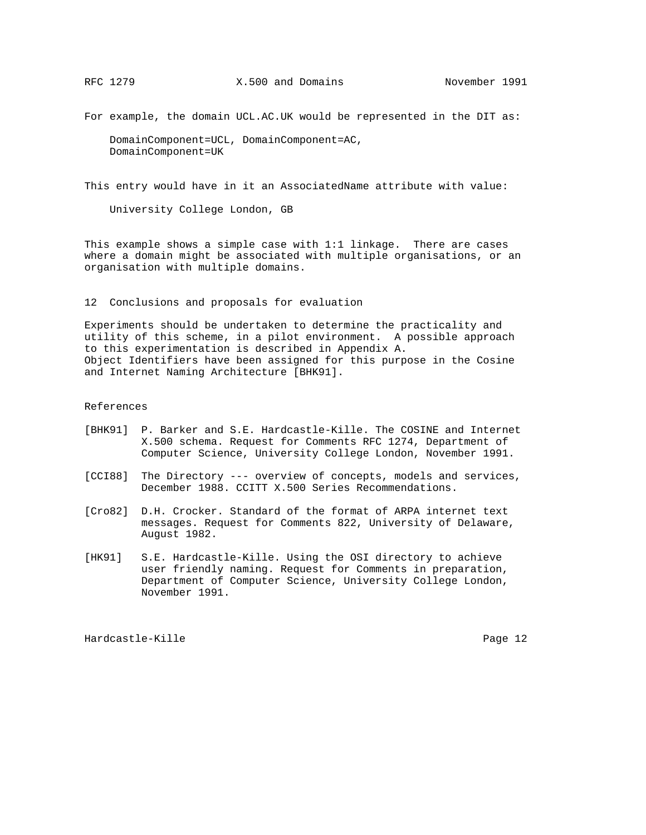For example, the domain UCL.AC.UK would be represented in the DIT as:

 DomainComponent=UCL, DomainComponent=AC, DomainComponent=UK

This entry would have in it an AssociatedName attribute with value:

University College London, GB

This example shows a simple case with 1:1 linkage. There are cases where a domain might be associated with multiple organisations, or an organisation with multiple domains.

12 Conclusions and proposals for evaluation

Experiments should be undertaken to determine the practicality and utility of this scheme, in a pilot environment. A possible approach to this experimentation is described in Appendix A. Object Identifiers have been assigned for this purpose in the Cosine and Internet Naming Architecture [BHK91].

## References

- [BHK91] P. Barker and S.E. Hardcastle-Kille. The COSINE and Internet X.500 schema. Request for Comments RFC 1274, Department of Computer Science, University College London, November 1991.
- [CCI88] The Directory --- overview of concepts, models and services, December 1988. CCITT X.500 Series Recommendations.
- [Cro82] D.H. Crocker. Standard of the format of ARPA internet text messages. Request for Comments 822, University of Delaware, August 1982.
- [HK91] S.E. Hardcastle-Kille. Using the OSI directory to achieve user friendly naming. Request for Comments in preparation, Department of Computer Science, University College London, November 1991.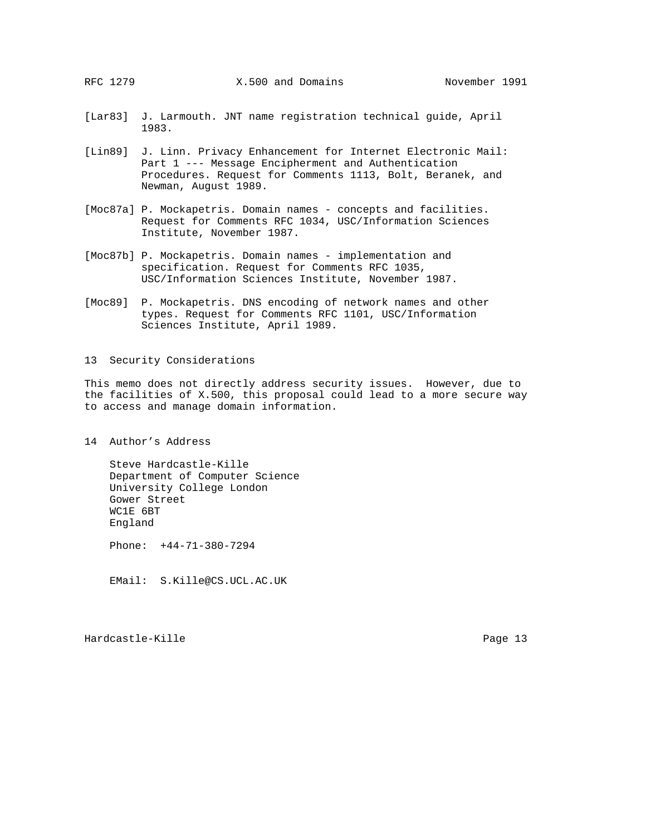- [Lar83] J. Larmouth. JNT name registration technical guide, April 1983.
- [Lin89] J. Linn. Privacy Enhancement for Internet Electronic Mail: Part 1 --- Message Encipherment and Authentication Procedures. Request for Comments 1113, Bolt, Beranek, and Newman, August 1989.
- [Moc87a] P. Mockapetris. Domain names concepts and facilities. Request for Comments RFC 1034, USC/Information Sciences Institute, November 1987.
- [Moc87b] P. Mockapetris. Domain names implementation and specification. Request for Comments RFC 1035, USC/Information Sciences Institute, November 1987.
- [Moc89] P. Mockapetris. DNS encoding of network names and other types. Request for Comments RFC 1101, USC/Information Sciences Institute, April 1989.
- 13 Security Considerations

This memo does not directly address security issues. However, due to the facilities of X.500, this proposal could lead to a more secure way to access and manage domain information.

14 Author's Address

 Steve Hardcastle-Kille Department of Computer Science University College London Gower Street WC1E 6BT England

Phone: +44-71-380-7294

EMail: S.Kille@CS.UCL.AC.UK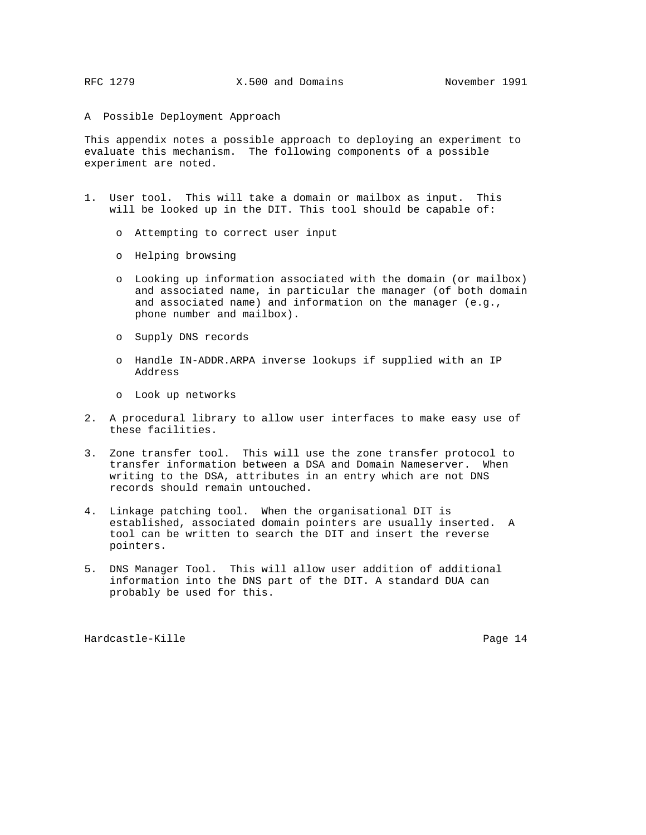## A Possible Deployment Approach

This appendix notes a possible approach to deploying an experiment to evaluate this mechanism. The following components of a possible experiment are noted.

- 1. User tool. This will take a domain or mailbox as input. This will be looked up in the DIT. This tool should be capable of:
	- o Attempting to correct user input
	- o Helping browsing
	- o Looking up information associated with the domain (or mailbox) and associated name, in particular the manager (of both domain and associated name) and information on the manager (e.g., phone number and mailbox).
	- o Supply DNS records
	- o Handle IN-ADDR.ARPA inverse lookups if supplied with an IP Address
	- o Look up networks
- 2. A procedural library to allow user interfaces to make easy use of these facilities.
- 3. Zone transfer tool. This will use the zone transfer protocol to transfer information between a DSA and Domain Nameserver. When writing to the DSA, attributes in an entry which are not DNS records should remain untouched.
- 4. Linkage patching tool. When the organisational DIT is established, associated domain pointers are usually inserted. A tool can be written to search the DIT and insert the reverse pointers.
- 5. DNS Manager Tool. This will allow user addition of additional information into the DNS part of the DIT. A standard DUA can probably be used for this.